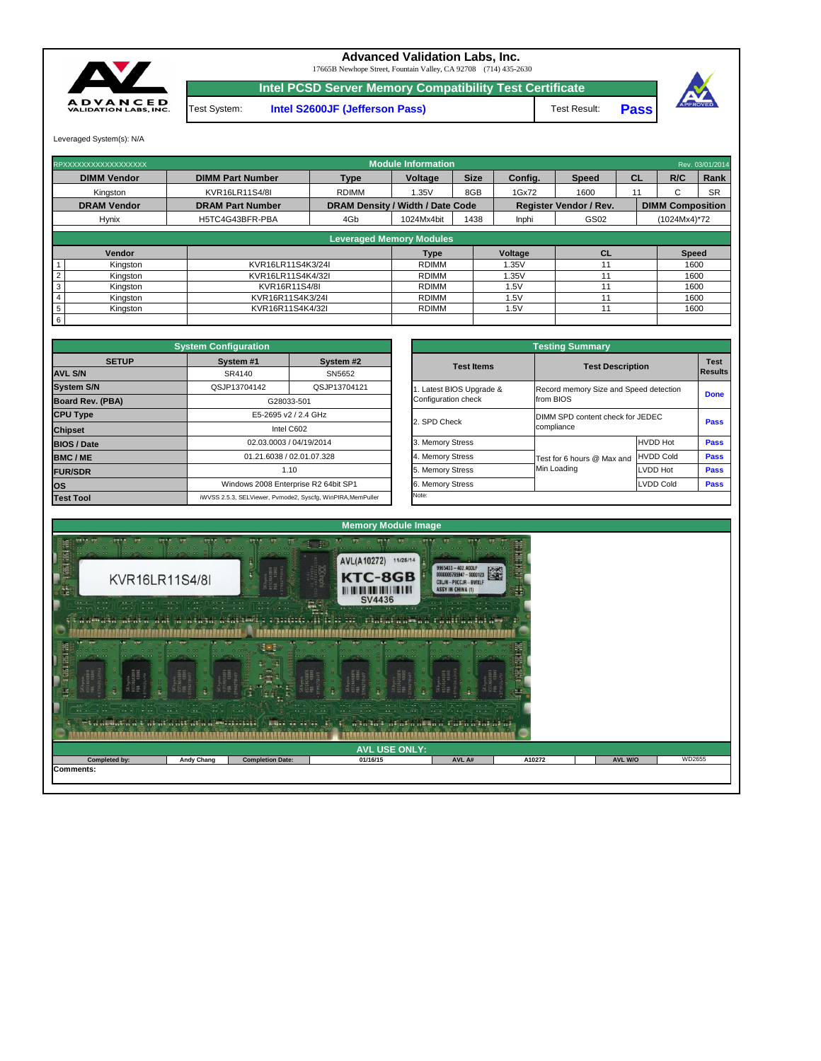| 1.177<br>$\sim$ $\sim$<br><b>Telesia Indiana</b><br>$-1$<br>$ +$ $+$<br>iet a at lata a tjut at a uttanja upriblikiti ( ) | <b>CONTRACTOR</b> AND INCOME.<br>$\cdots$ | $\cdots$<br>$\sqrt{2\pi}$<br>$  -$<br><b>ANGLE DE DE SER</b> | <b>All School Office Con-</b><br>the contract for the first state.<br>$1.147 + 1.06$<br><b>The Asian Andréh Hault n' rêmen nêres na na</b> | <b>School Gifts Controllers</b><br>The state and |        |                |        |
|---------------------------------------------------------------------------------------------------------------------------|-------------------------------------------|--------------------------------------------------------------|--------------------------------------------------------------------------------------------------------------------------------------------|--------------------------------------------------|--------|----------------|--------|
|                                                                                                                           |                                           |                                                              | <b>AVL USE ONLY:</b>                                                                                                                       |                                                  |        |                |        |
| <b>Completed by:</b>                                                                                                      | <b>Andy Chang</b>                         | <b>Completion Date:</b>                                      | 01/16/15                                                                                                                                   | AVL A#                                           | A10272 | <b>AVL W/O</b> | WD2655 |
| Comments:                                                                                                                 |                                           |                                                              |                                                                                                                                            |                                                  |        |                |        |



|              | <b>System Configuration</b> |                                                             |                       | <b>Testing Summary</b>                 |                  |                |
|--------------|-----------------------------|-------------------------------------------------------------|-----------------------|----------------------------------------|------------------|----------------|
| <b>SETUP</b> | System #1                   | System #2                                                   | <b>Test Items</b>     |                                        |                  | <b>Test</b>    |
|              | SR4140                      | SN5652                                                      |                       | <b>Test Description</b>                |                  | <b>Results</b> |
|              | QSJP13704142                | QSJP13704121                                                | Latest BIOS Upgrade & | Record memory Size and Speed detection |                  |                |
| <b>BA)</b>   |                             | G28033-501                                                  | Configuration check   | from BIOS                              |                  | <b>Done</b>    |
|              |                             | E5-2695 v2 / 2.4 GHz                                        |                       | DIMM SPD content check for JEDEC       |                  |                |
|              |                             | Intel C602                                                  | 2. SPD Check          | compliance                             |                  | <b>Pass</b>    |
|              |                             | 02.03.0003 / 04/19/2014                                     | 3. Memory Stress      |                                        | <b>HVDD Hot</b>  | <b>Pass</b>    |
|              |                             | 01.21.6038 / 02.01.07.328                                   | 4. Memory Stress      | Test for 6 hours @ Max and             | <b>HVDD Cold</b> | <b>Pass</b>    |
|              |                             | 1.10                                                        | 5. Memory Stress      | Min Loading                            | LVDD Hot         | <b>Pass</b>    |
|              |                             | Windows 2008 Enterprise R2 64bit SP1                        | 6. Memory Stress      |                                        | <b>LVDD Cold</b> | <b>Pass</b>    |
|              |                             | iWVSS 2.5.3. SELViewer, Pymode2, Syscfa, WinPIRA, MemPuller | Note:                 |                                        |                  |                |

|                         | <b>System Configuration</b> |                                                             |                     | <b>Testing Summary</b>                 |                  |                |  |
|-------------------------|-----------------------------|-------------------------------------------------------------|---------------------|----------------------------------------|------------------|----------------|--|
| <b>SETUP</b>            | System #1                   | System #2                                                   | <b>Test Items</b>   | <b>Test Description</b>                |                  | <b>Test</b>    |  |
| <b>AVL S/N</b>          | SR4140                      | SN5652                                                      |                     |                                        |                  | <b>Results</b> |  |
| <b>System S/N</b>       | QSJP13704142                | QSJP13704121                                                |                     | Record memory Size and Speed detection |                  | <b>Done</b>    |  |
| <b>Board Rev. (PBA)</b> |                             | G28033-501                                                  | Configuration check | from BIOS                              |                  |                |  |
| <b>CPU Type</b>         |                             | E5-2695 v2 / 2.4 GHz                                        | 2. SPD Check        | DIMM SPD content check for JEDEC       |                  | <b>Pass</b>    |  |
| <b>Chipset</b>          |                             | Intel C602                                                  |                     | compliance                             |                  |                |  |
| <b>BIOS / Date</b>      |                             | 02.03.0003 / 04/19/2014                                     |                     |                                        | <b>HVDD Hot</b>  | <b>Pass</b>    |  |
| <b>BMC/ME</b>           |                             | 01.21.6038 / 02.01.07.328                                   | 4. Memory Stress    | Test for 6 hours @ Max and             | <b>HVDD Cold</b> | <b>Pass</b>    |  |
| <b>FUR/SDR</b>          |                             | 1.10                                                        | 5. Memory Stress    | Min Loading                            | LVDD Hot         | <b>Pass</b>    |  |
| <b>OS</b>               |                             | Windows 2008 Enterprise R2 64bit SP1                        | 6. Memory Stress    |                                        | <b>LVDD Cold</b> | <b>Pass</b>    |  |
| <b>Test Tool</b>        |                             | iWVSS 2.5.3, SELViewer, Pvmode2, Syscfg, WinPIRA, MemPuller | Note:               |                                        |                  |                |  |

|                 | RPXXXXXXXXXXXXXXXXXX |                         |                                         | <b>Module Information</b>       |             |                |                               |           |                         | Rev. 03/01/2014 |
|-----------------|----------------------|-------------------------|-----------------------------------------|---------------------------------|-------------|----------------|-------------------------------|-----------|-------------------------|-----------------|
|                 | <b>DIMM Vendor</b>   | <b>DIMM Part Number</b> | <b>Type</b>                             | <b>Voltage</b>                  | <b>Size</b> | Config.        | <b>Speed</b>                  | <b>CL</b> | R/C                     | Rank            |
|                 | Kingston             | KVR16LR11S4/8I          | <b>RDIMM</b>                            | 1.35V                           | 8GB         | 1Gx72          | 1600                          |           | ⌒<br>G                  | <b>SR</b>       |
|                 | <b>DRAM Vendor</b>   | <b>DRAM Part Number</b> | <b>DRAM Density / Width / Date Code</b> |                                 |             |                | <b>Register Vendor / Rev.</b> |           | <b>DIMM Composition</b> |                 |
|                 | <b>Hynix</b>         | H5TC4G43BFR-PBA         | 4Gb                                     | 1024Mx4bit                      | 1438        | Inphi          | GS02                          |           | (1024Mx4)*72            |                 |
|                 |                      |                         |                                         |                                 |             |                |                               |           |                         |                 |
|                 |                      |                         |                                         | <b>Leveraged Memory Modules</b> |             |                |                               |           |                         |                 |
|                 | Vendor               |                         |                                         | <b>Type</b>                     |             | <b>Voltage</b> | <b>CL</b>                     |           | <b>Speed</b>            |                 |
|                 | Kingston             | KVR16LR11S4K3/24I       |                                         | <b>RDIMM</b>                    |             | 1.35V          | 11                            |           | 1600                    |                 |
|                 | Kingston             | KVR16LR11S4K4/32I       |                                         | <b>RDIMM</b>                    |             | 1.35V          | 11                            |           | 1600                    |                 |
| 3               | Kingston             | KVR16R11S4/8I           |                                         | <b>RDIMM</b>                    |             | 1.5V           | 11                            |           | 1600                    |                 |
|                 | Kingston             | KVR16R11S4K3/24I        |                                         | <b>RDIMM</b>                    |             | 1.5V           | 11                            |           |                         | 1600            |
| $5\phantom{.0}$ | Kingston             | KVR16R11S4K4/32I        |                                         | <b>RDIMM</b>                    |             | 1.5V           | 11                            |           |                         | 1600            |
| $6\overline{6}$ |                      |                         |                                         |                                 |             |                |                               |           |                         |                 |

**Pass**



17665B Newhope Street, Fountain Valley, CA 92708 (714) 435-2630

**Intel PCSD Server Memory Compatibility Test Certificate**

Test System: **Intel S2600JF (Jefferson Pass)** Test Result:

Leveraged System(s): N/A



## **Advanced Validation Labs, Inc.**